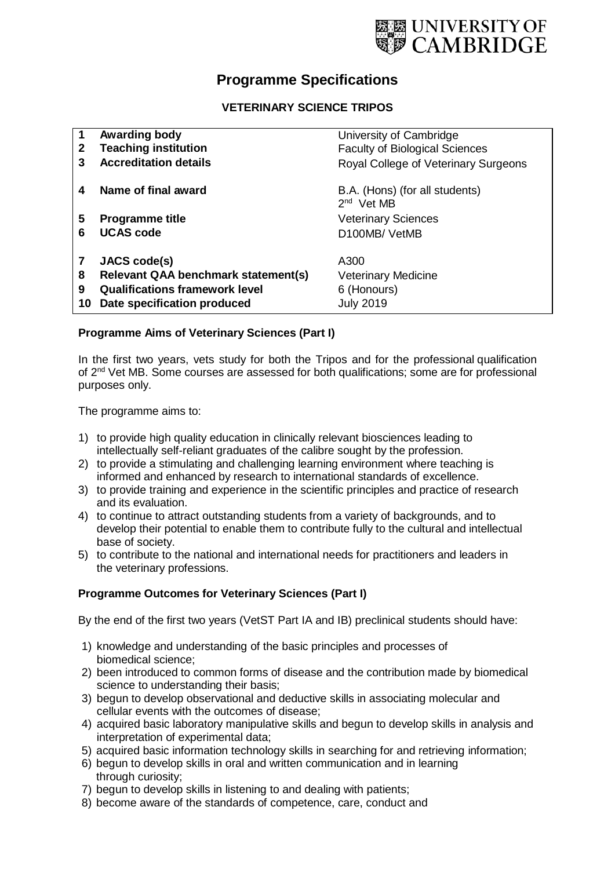

# **Programme Specifications**

# **VETERINARY SCIENCE TRIPOS**

|              | Awarding body                         | University of Cambridge                                  |
|--------------|---------------------------------------|----------------------------------------------------------|
| $\mathbf{2}$ | <b>Teaching institution</b>           | <b>Faculty of Biological Sciences</b>                    |
|              | <b>Accreditation details</b>          | Royal College of Veterinary Surgeons                     |
| 4            | Name of final award                   | B.A. (Hons) (for all students)<br>2 <sup>nd</sup> Vet MB |
| 5            | <b>Programme title</b>                | <b>Veterinary Sciences</b>                               |
| հ            | <b>UCAS code</b>                      | D <sub>100</sub> MB/VetMB                                |
|              | JACS code(s)                          | A300                                                     |
| 8            | Relevant QAA benchmark statement(s)   | <b>Veterinary Medicine</b>                               |
| 9            | <b>Qualifications framework level</b> | 6 (Honours)                                              |
| 10           | Date specification produced           | <b>July 2019</b>                                         |

# **Programme Aims of Veterinary Sciences (Part I)**

In the first two years, vets study for both the Tripos and for the professional qualification of 2<sup>nd</sup> Vet MB. Some courses are assessed for both qualifications; some are for professional purposes only.

The programme aims to:

- 1) to provide high quality education in clinically relevant biosciences leading to intellectually self-reliant graduates of the calibre sought by the profession.
- 2) to provide a stimulating and challenging learning environment where teaching is informed and enhanced by research to international standards of excellence.
- 3) to provide training and experience in the scientific principles and practice of research and its evaluation.
- 4) to continue to attract outstanding students from a variety of backgrounds, and to develop their potential to enable them to contribute fully to the cultural and intellectual base of society.
- 5) to contribute to the national and international needs for practitioners and leaders in the veterinary professions.

# **Programme Outcomes for Veterinary Sciences (Part I)**

By the end of the first two years (VetST Part IA and IB) preclinical students should have:

- 1) knowledge and understanding of the basic principles and processes of biomedical science;
- 2) been introduced to common forms of disease and the contribution made by biomedical science to understanding their basis;
- 3) begun to develop observational and deductive skills in associating molecular and cellular events with the outcomes of disease;
- 4) acquired basic laboratory manipulative skills and begun to develop skills in analysis and interpretation of experimental data;
- 5) acquired basic information technology skills in searching for and retrieving information;
- 6) begun to develop skills in oral and written communication and in learning through curiosity;
- 7) begun to develop skills in listening to and dealing with patients;
- 8) become aware of the standards of competence, care, conduct and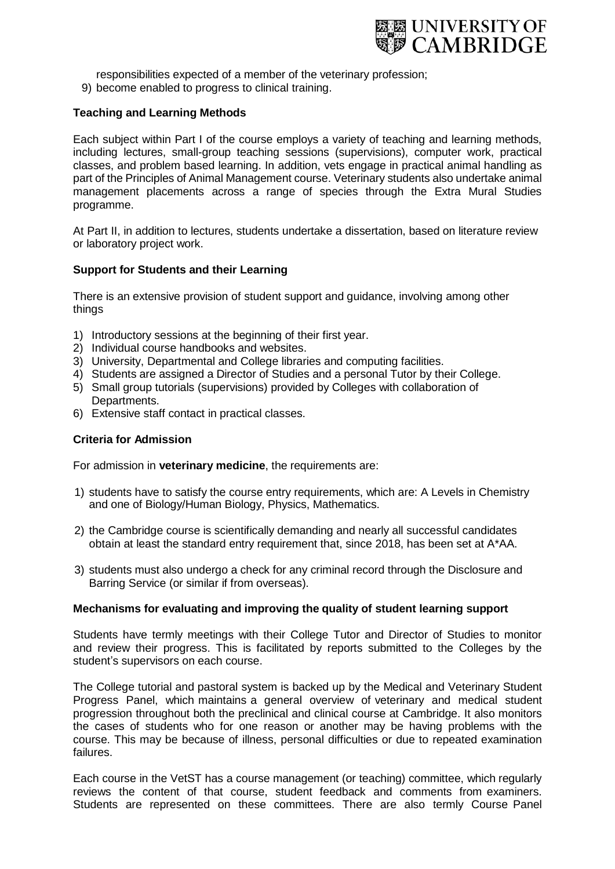

responsibilities expected of a member of the veterinary profession;

9) become enabled to progress to clinical training.

# **Teaching and Learning Methods**

Each subject within Part I of the course employs a variety of teaching and learning methods, including lectures, small-group teaching sessions (supervisions), computer work, practical classes, and problem based learning. In addition, vets engage in practical animal handling as part of the Principles of Animal Management course. Veterinary students also undertake animal management placements across a range of species through the Extra Mural Studies programme.

At Part II, in addition to lectures, students undertake a dissertation, based on literature review or laboratory project work.

### **Support for Students and their Learning**

There is an extensive provision of student support and guidance, involving among other things

- 1) Introductory sessions at the beginning of their first year.
- 2) Individual course handbooks and websites.
- 3) University, Departmental and College libraries and computing facilities.
- 4) Students are assigned a Director of Studies and a personal Tutor by their College.
- 5) Small group tutorials (supervisions) provided by Colleges with collaboration of Departments.
- 6) Extensive staff contact in practical classes.

#### **Criteria for Admission**

For admission in **veterinary medicine**, the requirements are:

- 1) students have to satisfy the course entry requirements, which are: A Levels in Chemistry and one of Biology/Human Biology, Physics, Mathematics.
- 2) the Cambridge course is scientifically demanding and nearly all successful candidates obtain at least the standard entry requirement that, since 2018, has been set at A\*AA.
- 3) students must also undergo a check for any criminal record through the Disclosure and Barring Service (or similar if from overseas).

#### **Mechanisms for evaluating and improving the quality of student learning support**

Students have termly meetings with their College Tutor and Director of Studies to monitor and review their progress. This is facilitated by reports submitted to the Colleges by the student's supervisors on each course.

The College tutorial and pastoral system is backed up by the Medical and Veterinary Student Progress Panel, which maintains a general overview of veterinary and medical student progression throughout both the preclinical and clinical course at Cambridge. It also monitors the cases of students who for one reason or another may be having problems with the course. This may be because of illness, personal difficulties or due to repeated examination failures.

Each course in the VetST has a course management (or teaching) committee, which regularly reviews the content of that course, student feedback and comments from examiners. Students are represented on these committees. There are also termly Course Panel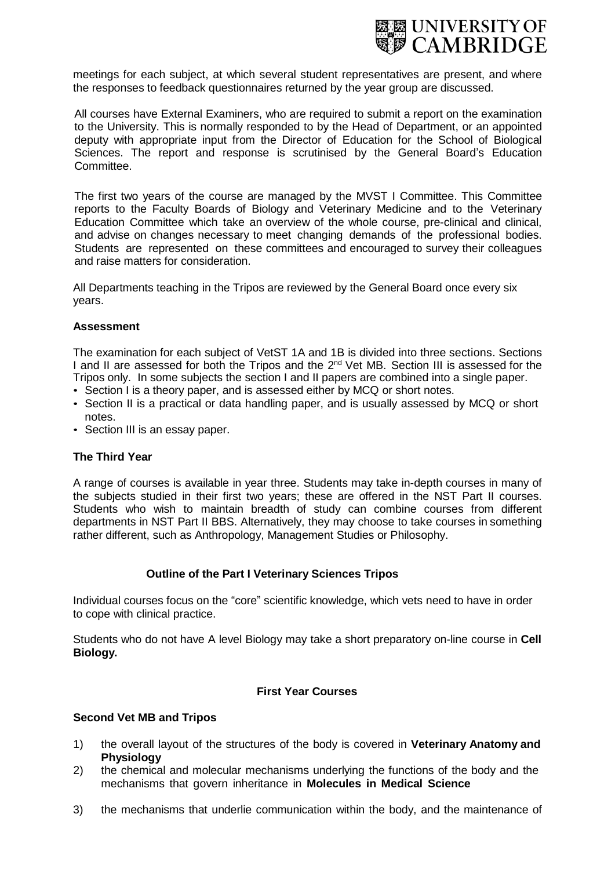

meetings for each subject, at which several student representatives are present, and where the responses to feedback questionnaires returned by the year group are discussed.

All courses have External Examiners, who are required to submit a report on the examination to the University. This is normally responded to by the Head of Department, or an appointed deputy with appropriate input from the Director of Education for the School of Biological Sciences. The report and response is scrutinised by the General Board's Education Committee.

The first two years of the course are managed by the MVST I Committee. This Committee reports to the Faculty Boards of Biology and Veterinary Medicine and to the Veterinary Education Committee which take an overview of the whole course, pre-clinical and clinical, and advise on changes necessary to meet changing demands of the professional bodies. Students are represented on these committees and encouraged to survey their colleagues and raise matters for consideration.

All Departments teaching in the Tripos are reviewed by the General Board once every six years.

### **Assessment**

The examination for each subject of VetST 1A and 1B is divided into three sections. Sections I and II are assessed for both the Tripos and the 2<sup>nd</sup> Vet MB. Section III is assessed for the Tripos only. In some subjects the section I and II papers are combined into a single paper.

- Section I is a theory paper, and is assessed either by MCQ or short notes.
- Section II is a practical or data handling paper, and is usually assessed by MCQ or short notes.
- Section III is an essay paper.

# **The Third Year**

A range of courses is available in year three. Students may take in-depth courses in many of the subjects studied in their first two years; these are offered in the NST Part II courses. Students who wish to maintain breadth of study can combine courses from different departments in NST Part II BBS. Alternatively, they may choose to take courses in something rather different, such as Anthropology, Management Studies or Philosophy.

#### **Outline of the Part I Veterinary Sciences Tripos**

Individual courses focus on the "core" scientific knowledge, which vets need to have in order to cope with clinical practice.

Students who do not have A level Biology may take a short preparatory on-line course in **Cell Biology.**

#### **First Year Courses**

#### **Second Vet MB and Tripos**

- 1) the overall layout of the structures of the body is covered in **Veterinary Anatomy and Physiology**
- 2) the chemical and molecular mechanisms underlying the functions of the body and the mechanisms that govern inheritance in **Molecules in Medical Science**
- 3) the mechanisms that underlie communication within the body, and the maintenance of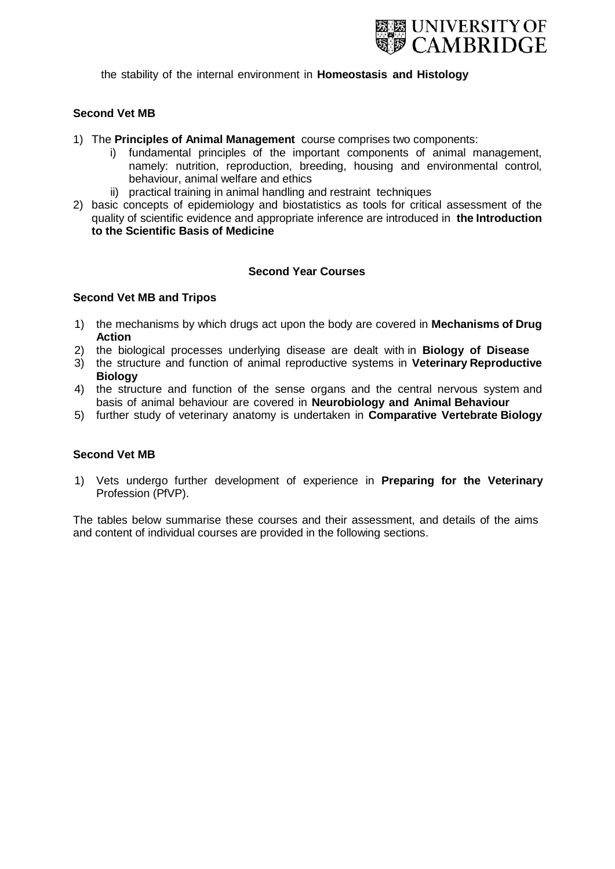

the stability of the internal environment in **Homeostasis and Histology**

#### **Second Vet MB**

- 1) The **Principles of Animal Management** course comprises two components:
	- i) fundamental principles of the important components of animal management, namely: nutrition, reproduction, breeding, housing and environmental control, behaviour, animal welfare and ethics
	- ii) practical training in animal handling and restraint techniques
- 2) basic concepts of epidemiology and biostatistics as tools for critical assessment of the quality of scientific evidence and appropriate inference are introduced in **the Introduction to the Scientific Basis of Medicine**

## **Second Year Courses**

#### **Second Vet MB and Tripos**

- 1) the mechanisms by which drugs act upon the body are covered in **Mechanisms of Drug Action**
- 2) the biological processes underlying disease are dealt with in **Biology of Disease**
- 3) the structure and function of animal reproductive systems in **Veterinary Reproductive Biology**
- 4) the structure and function of the sense organs and the central nervous system and basis of animal behaviour are covered in **Neurobiology and Animal Behaviour**
- 5) further study of veterinary anatomy is undertaken in **Comparative Vertebrate Biology**

#### **Second Vet MB**

1) Vets undergo further development of experience in **Preparing for the Veterinary** Profession (PfVP).

The tables below summarise these courses and their assessment, and details of the aims and content of individual courses are provided in the following sections.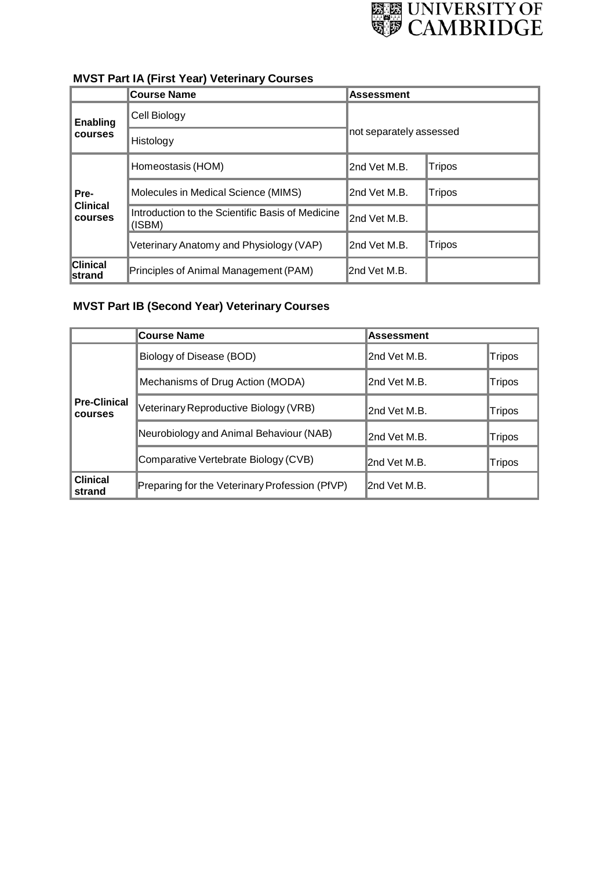

|                                   | <b>Course Name</b>                                         | <b>Assessment</b>       |               |
|-----------------------------------|------------------------------------------------------------|-------------------------|---------------|
| Enabling                          | Cell Biology                                               | not separately assessed |               |
| <b>courses</b>                    | Histology                                                  |                         |               |
|                                   | Homeostasis (HOM)                                          | 2nd Vet M.B.            | Tripos        |
| Pre-                              | Molecules in Medical Science (MIMS)                        | 2nd Vet M.B.            | Tripos        |
| <b>Clinical</b><br><b>courses</b> | Introduction to the Scientific Basis of Medicine<br>(ISBM) | I2nd Vet M.B.           |               |
|                                   | Veterinary Anatomy and Physiology (VAP)                    | 2nd Vet M.B.            | <b>Tripos</b> |
| <b>Clinical</b><br>Istrand        | Principles of Animal Management (PAM)                      | 2nd Vet M.B.            |               |

# **MVST Part IA (First Year) Veterinary Courses**

# **MVST Part IB (Second Year) Veterinary Courses**

|                                       | <b>Course Name</b>                             | <b>Assessment</b> |        |
|---------------------------------------|------------------------------------------------|-------------------|--------|
|                                       | Biology of Disease (BOD)                       | 2nd Vet M.B.      | Tripos |
|                                       | Mechanisms of Drug Action (MODA)               | 2nd Vet M.B.      | Tripos |
| <b>Pre-Clinical</b><br><b>courses</b> | Veterinary Reproductive Biology (VRB)          | 2nd Vet M.B.      | Tripos |
|                                       | Neurobiology and Animal Behaviour (NAB)        | 2nd Vet M.B.      | Tripos |
|                                       | Comparative Vertebrate Biology (CVB)           | 2nd Vet M.B.      | Tripos |
| <b>Clinical</b><br>strand             | Preparing for the Veterinary Profession (PfVP) | 2nd Vet M.B.      |        |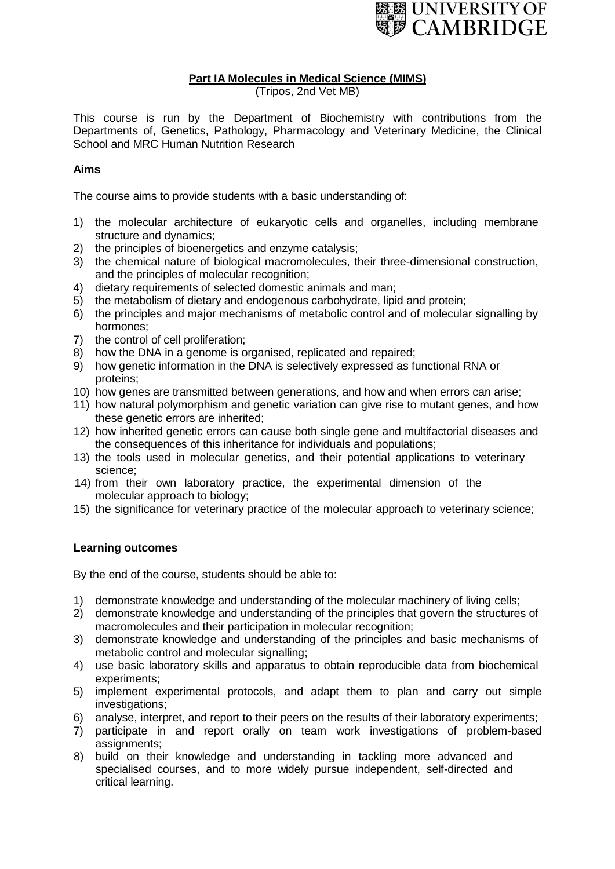

# **Part IA Molecules in Medical Science (MIMS)**

(Tripos, 2nd Vet MB)

This course is run by the Department of Biochemistry with contributions from the Departments of, Genetics, Pathology, Pharmacology and Veterinary Medicine, the Clinical School and MRC Human Nutrition Research

# **Aims**

The course aims to provide students with a basic understanding of:

- 1) the molecular architecture of eukaryotic cells and organelles, including membrane structure and dynamics;
- 2) the principles of bioenergetics and enzyme catalysis;
- 3) the chemical nature of biological macromolecules, their three-dimensional construction, and the principles of molecular recognition;
- 4) dietary requirements of selected domestic animals and man;
- 5) the metabolism of dietary and endogenous carbohydrate, lipid and protein;
- 6) the principles and major mechanisms of metabolic control and of molecular signalling by hormones;
- 7) the control of cell proliferation;<br>8) how the DNA in a genome is o
- how the DNA in a genome is organised, replicated and repaired;
- 9) how genetic information in the DNA is selectively expressed as functional RNA or proteins;
- 10) how genes are transmitted between generations, and how and when errors can arise;
- 11) how natural polymorphism and genetic variation can give rise to mutant genes, and how these genetic errors are inherited;
- 12) how inherited genetic errors can cause both single gene and multifactorial diseases and the consequences of this inheritance for individuals and populations;
- 13) the tools used in molecular genetics, and their potential applications to veterinary science;
- 14) from their own laboratory practice, the experimental dimension of the molecular approach to biology;
- 15) the significance for veterinary practice of the molecular approach to veterinary science;

# **Learning outcomes**

By the end of the course, students should be able to:

- 1) demonstrate knowledge and understanding of the molecular machinery of living cells;
- 2) demonstrate knowledge and understanding of the principles that govern the structures of macromolecules and their participation in molecular recognition;
- 3) demonstrate knowledge and understanding of the principles and basic mechanisms of metabolic control and molecular signalling;
- 4) use basic laboratory skills and apparatus to obtain reproducible data from biochemical experiments;
- 5) implement experimental protocols, and adapt them to plan and carry out simple investigations;
- 6) analyse, interpret, and report to their peers on the results of their laboratory experiments;
- 7) participate in and report orally on team work investigations of problem-based assignments;
- 8) build on their knowledge and understanding in tackling more advanced and specialised courses, and to more widely pursue independent, self-directed and critical learning.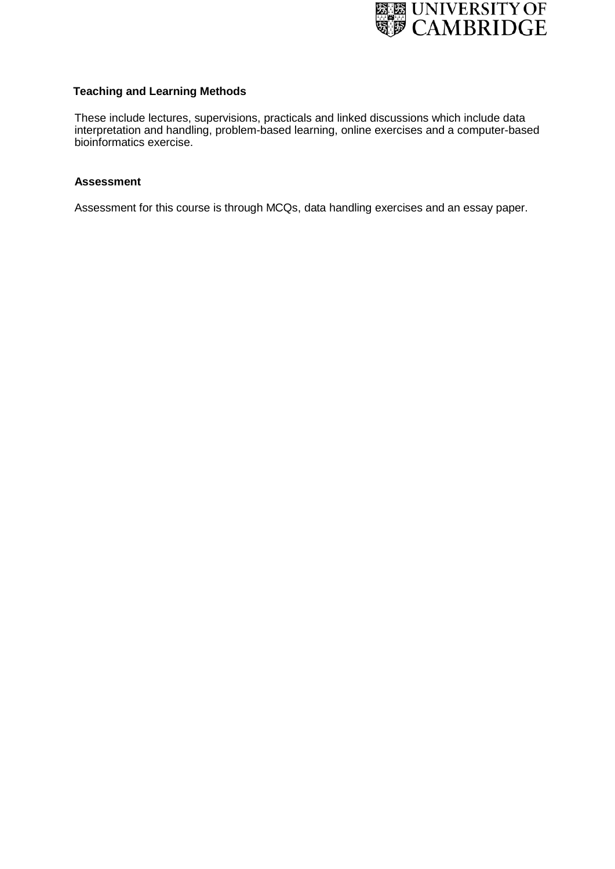

# **Teaching and Learning Methods**

These include lectures, supervisions, practicals and linked discussions which include data interpretation and handling, problem-based learning, online exercises and a computer-based bioinformatics exercise.

#### **Assessment**

Assessment for this course is through MCQs, data handling exercises and an essay paper.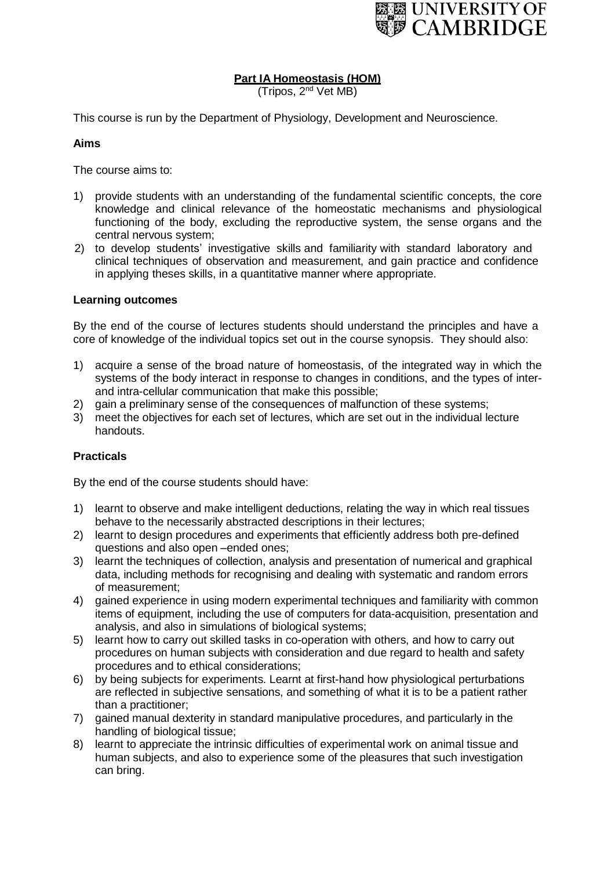

# **Part IA Homeostasis (HOM)**

(Tripos, 2<sup>nd</sup> Vet MB)

This course is run by the Department of Physiology, Development and Neuroscience.

## **Aims**

The course aims to:

- 1) provide students with an understanding of the fundamental scientific concepts, the core knowledge and clinical relevance of the homeostatic mechanisms and physiological functioning of the body, excluding the reproductive system, the sense organs and the central nervous system;
- 2) to develop students' investigative skills and familiarity with standard laboratory and clinical techniques of observation and measurement, and gain practice and confidence in applying theses skills, in a quantitative manner where appropriate.

#### **Learning outcomes**

By the end of the course of lectures students should understand the principles and have a core of knowledge of the individual topics set out in the course synopsis. They should also:

- 1) acquire a sense of the broad nature of homeostasis, of the integrated way in which the systems of the body interact in response to changes in conditions, and the types of interand intra-cellular communication that make this possible;
- 2) gain a preliminary sense of the consequences of malfunction of these systems;
- 3) meet the objectives for each set of lectures, which are set out in the individual lecture handouts.

# **Practicals**

By the end of the course students should have:

- 1) learnt to observe and make intelligent deductions, relating the way in which real tissues behave to the necessarily abstracted descriptions in their lectures;
- 2) learnt to design procedures and experiments that efficiently address both pre-defined questions and also open –ended ones;
- 3) learnt the techniques of collection, analysis and presentation of numerical and graphical data, including methods for recognising and dealing with systematic and random errors of measurement;
- 4) gained experience in using modern experimental techniques and familiarity with common items of equipment, including the use of computers for data-acquisition, presentation and analysis, and also in simulations of biological systems;
- 5) learnt how to carry out skilled tasks in co-operation with others, and how to carry out procedures on human subjects with consideration and due regard to health and safety procedures and to ethical considerations;
- 6) by being subjects for experiments. Learnt at first-hand how physiological perturbations are reflected in subjective sensations, and something of what it is to be a patient rather than a practitioner;
- 7) gained manual dexterity in standard manipulative procedures, and particularly in the handling of biological tissue;
- 8) learnt to appreciate the intrinsic difficulties of experimental work on animal tissue and human subjects, and also to experience some of the pleasures that such investigation can bring.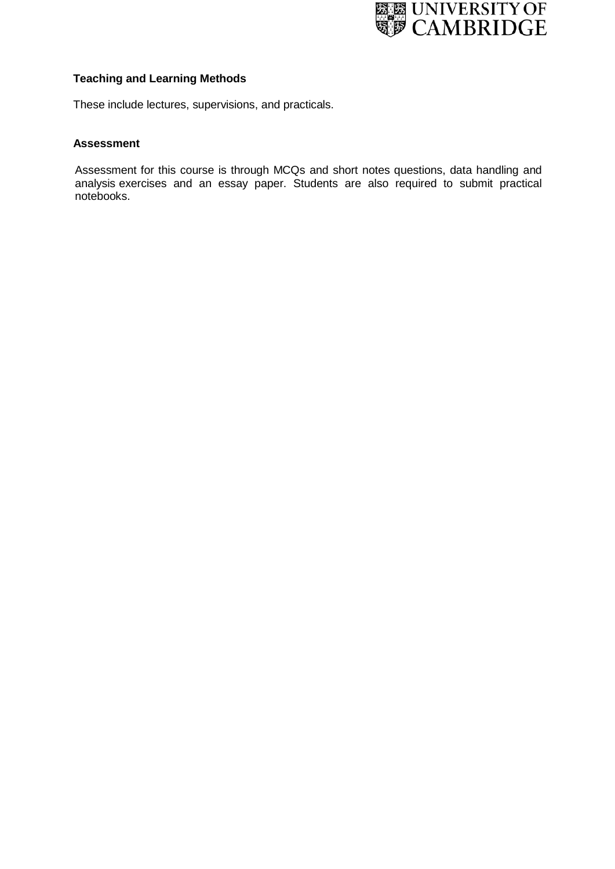

# **Teaching and Learning Methods**

These include lectures, supervisions, and practicals.

# **Assessment**

Assessment for this course is through MCQs and short notes questions, data handling and analysis exercises and an essay paper. Students are also required to submit practical notebooks.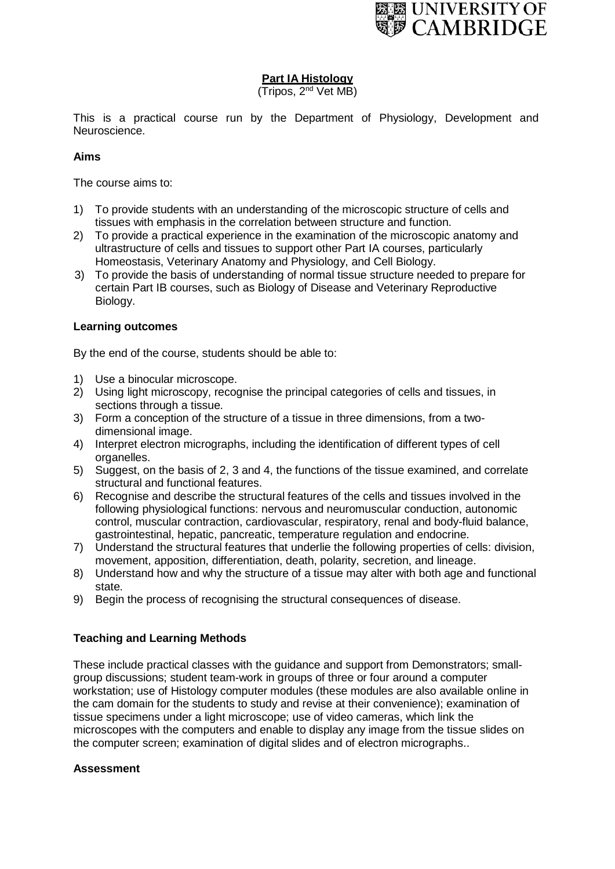

# **Part IA Histology**

(Tripos, 2<sup>nd</sup> Vet MB)

This is a practical course run by the Department of Physiology, Development and Neuroscience.

# **Aims**

The course aims to:

- 1) To provide students with an understanding of the microscopic structure of cells and tissues with emphasis in the correlation between structure and function.
- 2) To provide a practical experience in the examination of the microscopic anatomy and ultrastructure of cells and tissues to support other Part IA courses, particularly Homeostasis, Veterinary Anatomy and Physiology, and Cell Biology.
- 3) To provide the basis of understanding of normal tissue structure needed to prepare for certain Part IB courses, such as Biology of Disease and Veterinary Reproductive Biology.

### **Learning outcomes**

By the end of the course, students should be able to:

- 1) Use a binocular microscope.
- 2) Using light microscopy, recognise the principal categories of cells and tissues, in sections through a tissue.
- 3) Form a conception of the structure of a tissue in three dimensions, from a twodimensional image.
- 4) Interpret electron micrographs, including the identification of different types of cell organelles.
- 5) Suggest, on the basis of 2, 3 and 4, the functions of the tissue examined, and correlate structural and functional features.
- 6) Recognise and describe the structural features of the cells and tissues involved in the following physiological functions: nervous and neuromuscular conduction, autonomic control, muscular contraction, cardiovascular, respiratory, renal and body-fluid balance, gastrointestinal, hepatic, pancreatic, temperature regulation and endocrine.
- 7) Understand the structural features that underlie the following properties of cells: division, movement, apposition, differentiation, death, polarity, secretion, and lineage.
- 8) Understand how and why the structure of a tissue may alter with both age and functional state.
- 9) Begin the process of recognising the structural consequences of disease.

# **Teaching and Learning Methods**

These include practical classes with the guidance and support from Demonstrators; smallgroup discussions; student team-work in groups of three or four around a computer workstation; use of Histology computer modules (these modules are also available online in the cam domain for the students to study and revise at their convenience); examination of tissue specimens under a light microscope; use of video cameras, which link the microscopes with the computers and enable to display any image from the tissue slides on the computer screen; examination of digital slides and of electron micrographs..

#### **Assessment**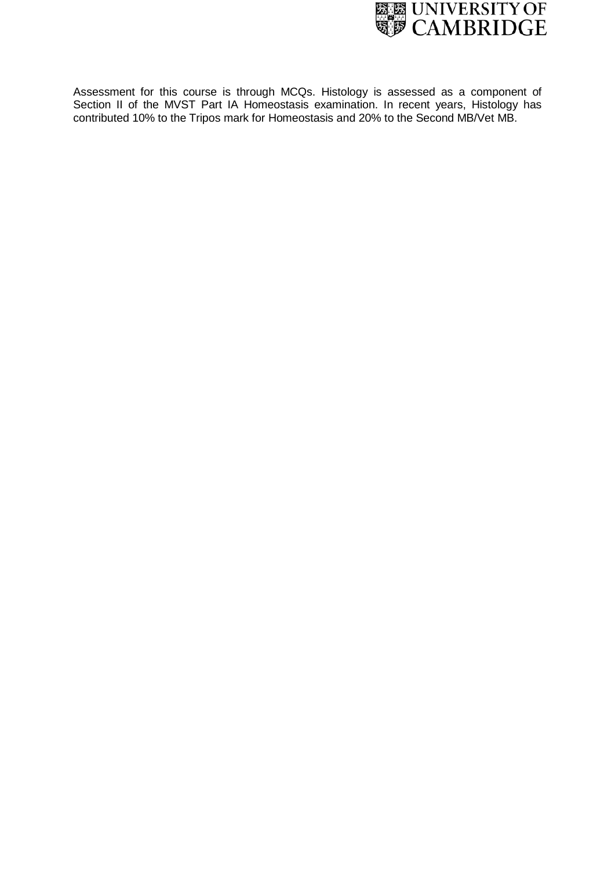

Assessment for this course is through MCQs. Histology is assessed as a component of Section II of the MVST Part IA Homeostasis examination. In recent years, Histology has contributed 10% to the Tripos mark for Homeostasis and 20% to the Second MB/Vet MB.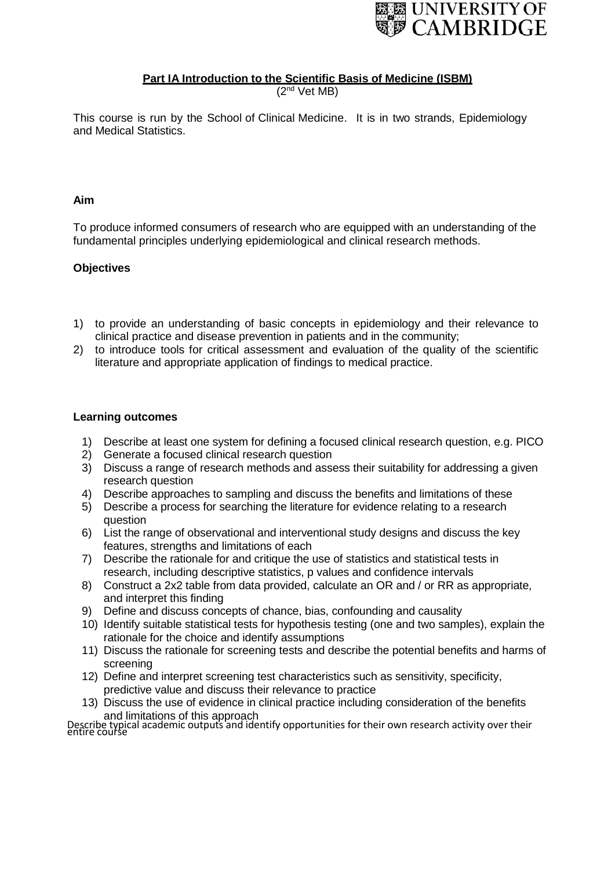

# **Part IA Introduction to the Scientific Basis of Medicine (ISBM)**

 $(2<sup>nd</sup>$  Vet MB)

This course is run by the School of Clinical Medicine. It is in two strands, Epidemiology and Medical Statistics.

## **Aim**

To produce informed consumers of research who are equipped with an understanding of the fundamental principles underlying epidemiological and clinical research methods.

# **Objectives**

- 1) to provide an understanding of basic concepts in epidemiology and their relevance to clinical practice and disease prevention in patients and in the community;
- 2) to introduce tools for critical assessment and evaluation of the quality of the scientific literature and appropriate application of findings to medical practice.

### **Learning outcomes**

- 1) Describe at least one system for defining a focused clinical research question, e.g. PICO
- 2) Generate a focused clinical research question
- 3) Discuss a range of research methods and assess their suitability for addressing a given research question
- 4) Describe approaches to sampling and discuss the benefits and limitations of these
- 5) Describe a process for searching the literature for evidence relating to a research question
- 6) List the range of observational and interventional study designs and discuss the key features, strengths and limitations of each
- 7) Describe the rationale for and critique the use of statistics and statistical tests in research, including descriptive statistics, p values and confidence intervals
- 8) Construct a 2x2 table from data provided, calculate an OR and / or RR as appropriate, and interpret this finding
- 9) Define and discuss concepts of chance, bias, confounding and causality
- 10) Identify suitable statistical tests for hypothesis testing (one and two samples), explain the rationale for the choice and identify assumptions
- 11) Discuss the rationale for screening tests and describe the potential benefits and harms of screening
- 12) Define and interpret screening test characteristics such as sensitivity, specificity, predictive value and discuss their relevance to practice
- 13) Discuss the use of evidence in clinical practice including consideration of the benefits and limitations of this approach

Describe typical academic outputs and identify opportunities for their own research activity over their<br>entire course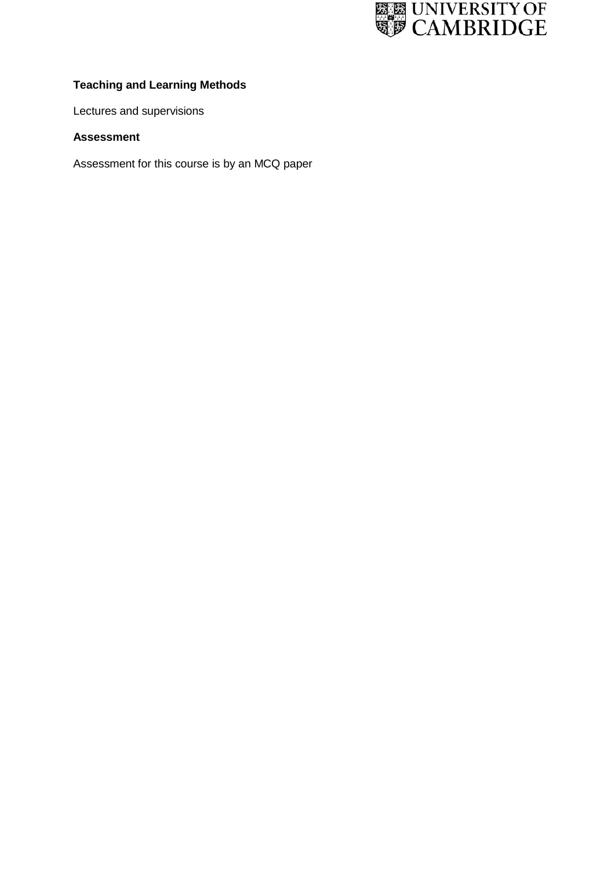

# **Teaching and Learning Methods**

Lectures and supervisions

# **Assessment**

Assessment for this course is by an MCQ paper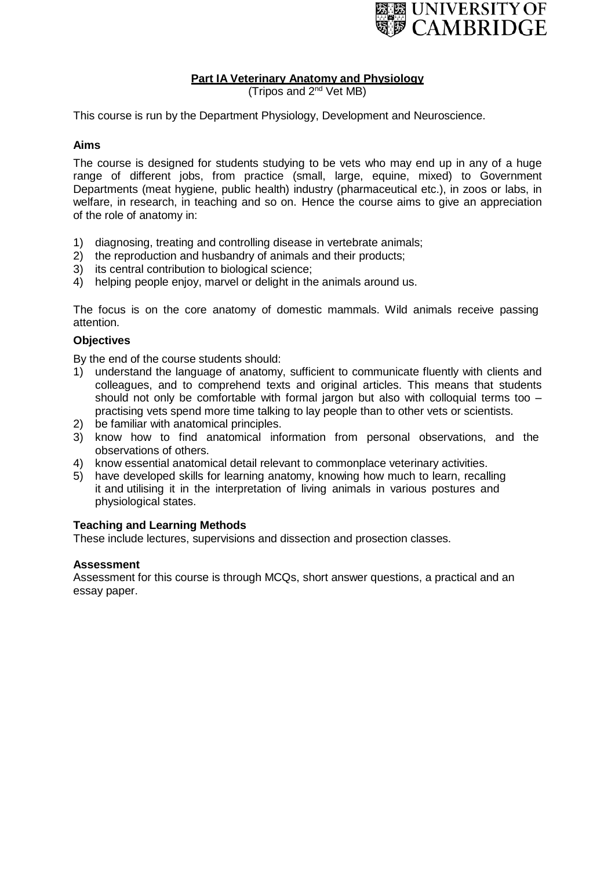

# **Part IA Veterinary Anatomy and Physiology**

(Tripos and  $2^{nd}$  Vet MB)

This course is run by the Department Physiology, Development and Neuroscience.

# **Aims**

The course is designed for students studying to be vets who may end up in any of a huge range of different jobs, from practice (small, large, equine, mixed) to Government Departments (meat hygiene, public health) industry (pharmaceutical etc.), in zoos or labs, in welfare, in research, in teaching and so on. Hence the course aims to give an appreciation of the role of anatomy in:

- 1) diagnosing, treating and controlling disease in vertebrate animals;
- 2) the reproduction and husbandry of animals and their products;
- 3) its central contribution to biological science;
- 4) helping people enjoy, marvel or delight in the animals around us.

The focus is on the core anatomy of domestic mammals. Wild animals receive passing attention.

### **Objectives**

By the end of the course students should:

- 1) understand the language of anatomy, sufficient to communicate fluently with clients and colleagues, and to comprehend texts and original articles. This means that students should not only be comfortable with formal jargon but also with colloquial terms too practising vets spend more time talking to lay people than to other vets or scientists.
- 2) be familiar with anatomical principles.
- 3) know how to find anatomical information from personal observations, and the observations of others.
- 4) know essential anatomical detail relevant to commonplace veterinary activities.
- 5) have developed skills for learning anatomy, knowing how much to learn, recalling it and utilising it in the interpretation of living animals in various postures and physiological states.

#### **Teaching and Learning Methods**

These include lectures, supervisions and dissection and prosection classes.

#### **Assessment**

Assessment for this course is through MCQs, short answer questions, a practical and an essay paper.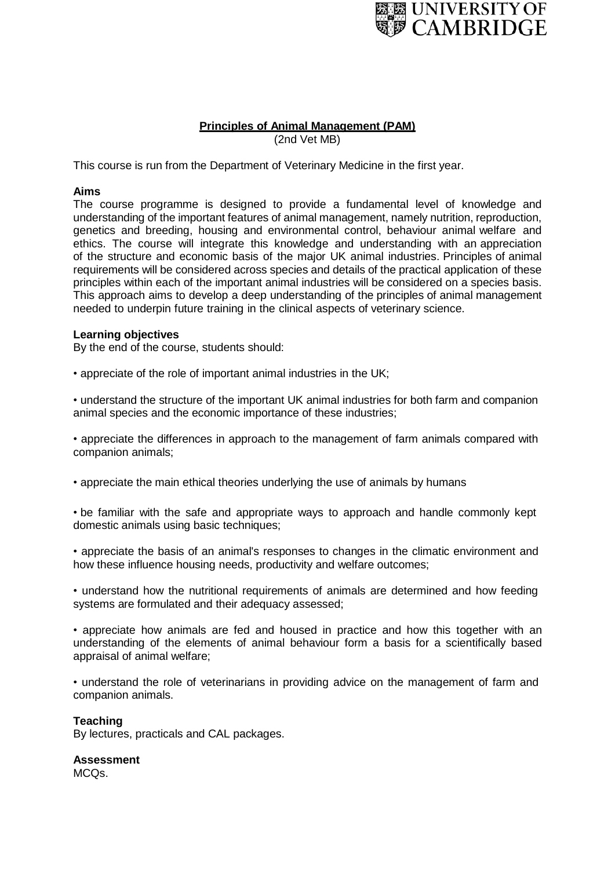

### **Principles of Animal Management (PAM)** (2nd Vet MB)

This course is run from the Department of Veterinary Medicine in the first year.

## **Aims**

The course programme is designed to provide a fundamental level of knowledge and understanding of the important features of animal management, namely nutrition, reproduction, genetics and breeding, housing and environmental control, behaviour animal welfare and ethics. The course will integrate this knowledge and understanding with an appreciation of the structure and economic basis of the major UK animal industries. Principles of animal requirements will be considered across species and details of the practical application of these principles within each of the important animal industries will be considered on a species basis. This approach aims to develop a deep understanding of the principles of animal management needed to underpin future training in the clinical aspects of veterinary science.

### **Learning objectives**

By the end of the course, students should:

• appreciate of the role of important animal industries in the UK;

• understand the structure of the important UK animal industries for both farm and companion animal species and the economic importance of these industries;

• appreciate the differences in approach to the management of farm animals compared with companion animals;

• appreciate the main ethical theories underlying the use of animals by humans

• be familiar with the safe and appropriate ways to approach and handle commonly kept domestic animals using basic techniques;

• appreciate the basis of an animal's responses to changes in the climatic environment and how these influence housing needs, productivity and welfare outcomes;

• understand how the nutritional requirements of animals are determined and how feeding systems are formulated and their adequacy assessed;

• appreciate how animals are fed and housed in practice and how this together with an understanding of the elements of animal behaviour form a basis for a scientifically based appraisal of animal welfare;

• understand the role of veterinarians in providing advice on the management of farm and companion animals.

#### **Teaching**

By lectures, practicals and CAL packages.

**Assessment** MCQs.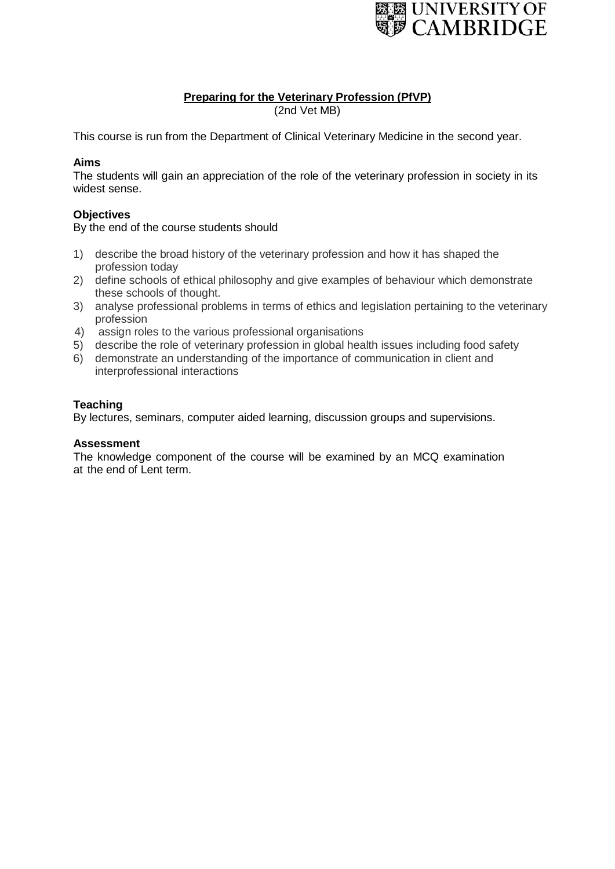

# **Preparing for the Veterinary Profession (PfVP)**

(2nd Vet MB)

This course is run from the Department of Clinical Veterinary Medicine in the second year.

# **Aims**

The students will gain an appreciation of the role of the veterinary profession in society in its widest sense.

# **Objectives**

By the end of the course students should

- 1) describe the broad history of the veterinary profession and how it has shaped the profession today
- 2) define schools of ethical philosophy and give examples of behaviour which demonstrate these schools of thought.
- 3) analyse professional problems in terms of ethics and legislation pertaining to the veterinary profession
- 4) assign roles to the various professional organisations
- 5) describe the role of veterinary profession in global health issues including food safety
- 6) demonstrate an understanding of the importance of communication in client and interprofessional interactions

# **Teaching**

By lectures, seminars, computer aided learning, discussion groups and supervisions.

# **Assessment**

The knowledge component of the course will be examined by an MCQ examination at the end of Lent term.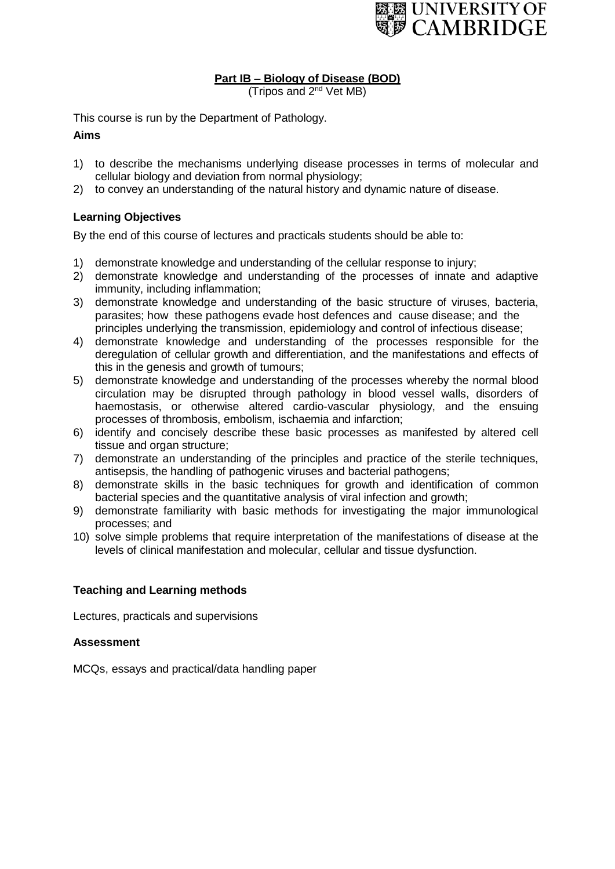

# **Part IB – Biology of Disease (BOD)**

(Tripos and  $2<sup>nd</sup>$  Vet MB)

This course is run by the Department of Pathology.

# **Aims**

- 1) to describe the mechanisms underlying disease processes in terms of molecular and cellular biology and deviation from normal physiology;
- 2) to convey an understanding of the natural history and dynamic nature of disease.

# **Learning Objectives**

By the end of this course of lectures and practicals students should be able to:

- 1) demonstrate knowledge and understanding of the cellular response to injury;
- 2) demonstrate knowledge and understanding of the processes of innate and adaptive immunity, including inflammation;
- 3) demonstrate knowledge and understanding of the basic structure of viruses, bacteria, parasites; how these pathogens evade host defences and cause disease; and the principles underlying the transmission, epidemiology and control of infectious disease;
- 4) demonstrate knowledge and understanding of the processes responsible for the deregulation of cellular growth and differentiation, and the manifestations and effects of this in the genesis and growth of tumours;
- 5) demonstrate knowledge and understanding of the processes whereby the normal blood circulation may be disrupted through pathology in blood vessel walls, disorders of haemostasis, or otherwise altered cardio-vascular physiology, and the ensuing processes of thrombosis, embolism, ischaemia and infarction;
- 6) identify and concisely describe these basic processes as manifested by altered cell tissue and organ structure;
- 7) demonstrate an understanding of the principles and practice of the sterile techniques, antisepsis, the handling of pathogenic viruses and bacterial pathogens;
- 8) demonstrate skills in the basic techniques for growth and identification of common bacterial species and the quantitative analysis of viral infection and growth;
- 9) demonstrate familiarity with basic methods for investigating the major immunological processes; and
- 10) solve simple problems that require interpretation of the manifestations of disease at the levels of clinical manifestation and molecular, cellular and tissue dysfunction.

# **Teaching and Learning methods**

Lectures, practicals and supervisions

# **Assessment**

MCQs, essays and practical/data handling paper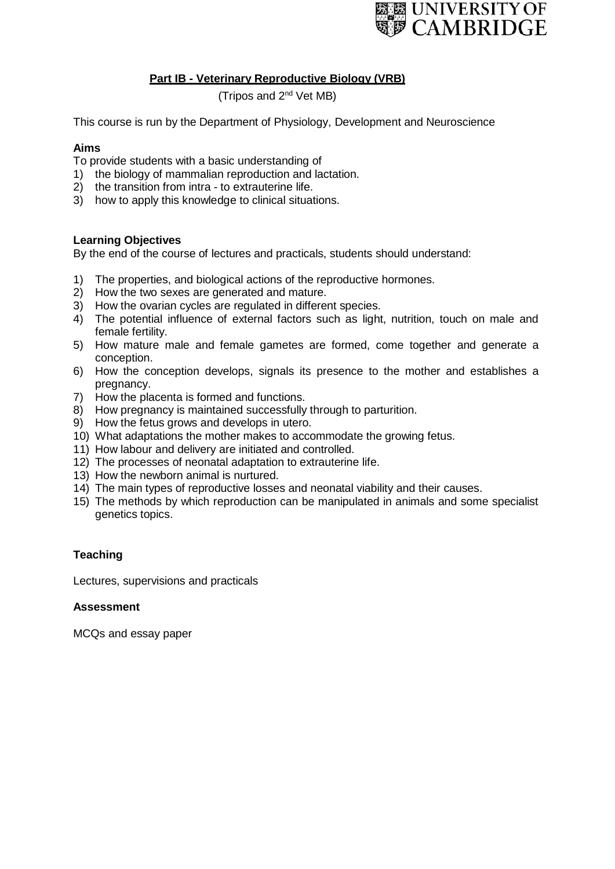

# **Part IB - Veterinary Reproductive Biology (VRB)**

(Tripos and 2nd Vet MB)

This course is run by the Department of Physiology, Development and Neuroscience

#### **Aims**

To provide students with a basic understanding of

- 1) the biology of mammalian reproduction and lactation.
- 2) the transition from intra to extrauterine life.
- 3) how to apply this knowledge to clinical situations.

### **Learning Objectives**

By the end of the course of lectures and practicals, students should understand:

- 1) The properties, and biological actions of the reproductive hormones.
- 2) How the two sexes are generated and mature.
- 3) How the ovarian cycles are regulated in different species.
- 4) The potential influence of external factors such as light, nutrition, touch on male and female fertility.
- 5) How mature male and female gametes are formed, come together and generate a conception.
- 6) How the conception develops, signals its presence to the mother and establishes a pregnancy.
- 7) How the placenta is formed and functions.
- 8) How pregnancy is maintained successfully through to parturition.
- 9) How the fetus grows and develops in utero.
- 10) What adaptations the mother makes to accommodate the growing fetus.
- 11) How labour and delivery are initiated and controlled.
- 12) The processes of neonatal adaptation to extrauterine life.
- 13) How the newborn animal is nurtured.
- 14) The main types of reproductive losses and neonatal viability and their causes.
- 15) The methods by which reproduction can be manipulated in animals and some specialist genetics topics.

# **Teaching**

Lectures, supervisions and practicals

#### **Assessment**

MCQs and essay paper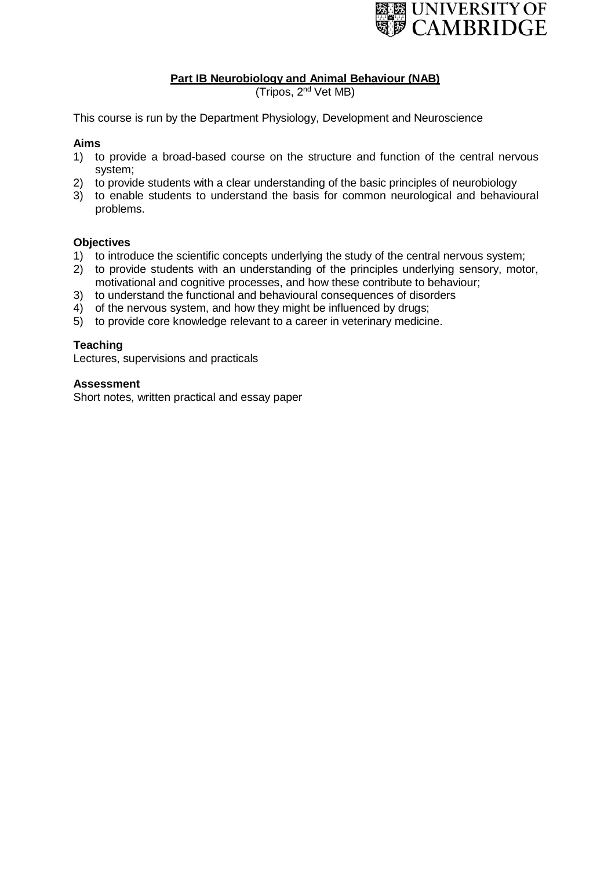

# **Part IB Neurobiology and Animal Behaviour (NAB)**

(Tripos, 2<sup>nd</sup> Vet MB)

This course is run by the Department Physiology, Development and Neuroscience

## **Aims**

- 1) to provide a broad-based course on the structure and function of the central nervous system;
- 2) to provide students with a clear understanding of the basic principles of neurobiology
- 3) to enable students to understand the basis for common neurological and behavioural problems.

### **Objectives**

- 1) to introduce the scientific concepts underlying the study of the central nervous system;
- 2) to provide students with an understanding of the principles underlying sensory, motor, motivational and cognitive processes, and how these contribute to behaviour;
- 3) to understand the functional and behavioural consequences of disorders
- 4) of the nervous system, and how they might be influenced by drugs;
- 5) to provide core knowledge relevant to a career in veterinary medicine.

### **Teaching**

Lectures, supervisions and practicals

#### **Assessment**

Short notes, written practical and essay paper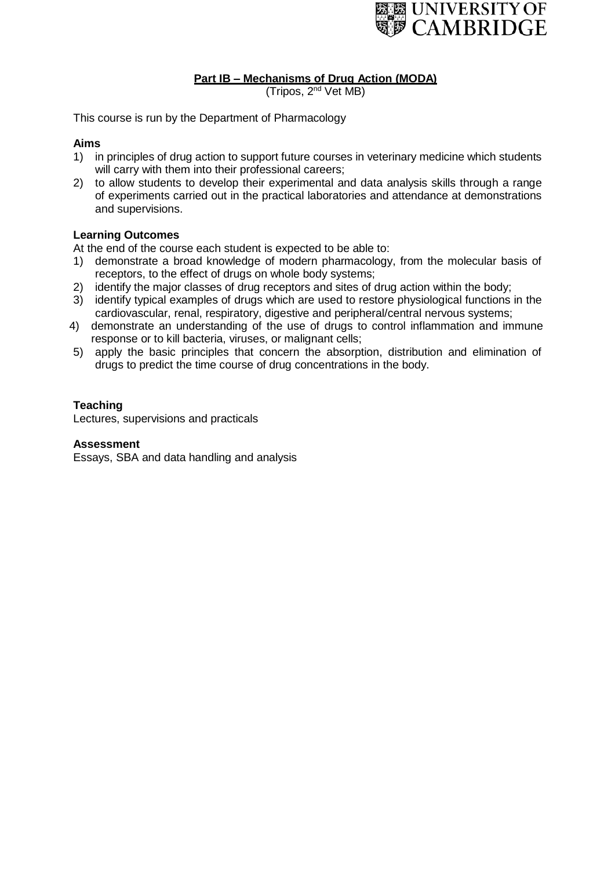

# **Part IB – Mechanisms of Drug Action (MODA)**

(Tripos, 2<sup>nd</sup> Vet MB)

This course is run by the Department of Pharmacology

## **Aims**

- 1) in principles of drug action to support future courses in veterinary medicine which students will carry with them into their professional careers;
- 2) to allow students to develop their experimental and data analysis skills through a range of experiments carried out in the practical laboratories and attendance at demonstrations and supervisions.

### **Learning Outcomes**

At the end of the course each student is expected to be able to:

- 1) demonstrate a broad knowledge of modern pharmacology, from the molecular basis of receptors, to the effect of drugs on whole body systems;
- 2) identify the major classes of drug receptors and sites of drug action within the body;
- 3) identify typical examples of drugs which are used to restore physiological functions in the cardiovascular, renal, respiratory, digestive and peripheral/central nervous systems;
- 4) demonstrate an understanding of the use of drugs to control inflammation and immune response or to kill bacteria, viruses, or malignant cells;
- 5) apply the basic principles that concern the absorption, distribution and elimination of drugs to predict the time course of drug concentrations in the body.

### **Teaching**

Lectures, supervisions and practicals

#### **Assessment**

Essays, SBA and data handling and analysis